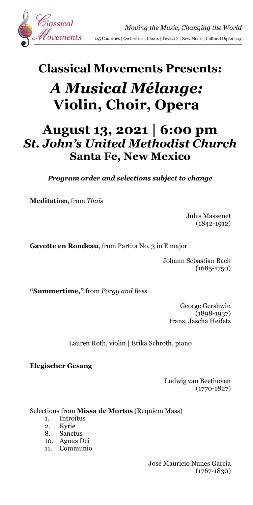

## **Classical Movements Presents:**

# *A Musical Mélange:* **Violin, Choir, Opera**

### **August 13, 2021 | 6:00 pm** *St. John's United Methodist Church* **Santa Fe, New Mexico**

*Program order and selections subject to change*

**Meditation**, from *Thaïs*

Jules Massenet (1842-1912)

**Gavotte en Rondeau**, from Partita No. 3 in E major

Johann Sebastian Bach (1685-1750)

**"Summertime,"** from *Porgy and Bess*

George Gershwin  $(1898 - 1937)$ trans. Jascha Heifetz

Lauren Roth, violin | Erika Schroth, piano

**Elegischer Gesang**

Ludwig van Beethoven (1770-1827)

Selections from **Missa de Mortos** (Requiem Mass)

- 1. Introitus
- 2. Kyrie
- 8. Sanctus
- 10. Agnus Dei
- 11. Communio

José Maurício Nunes Garcia (1767-1830)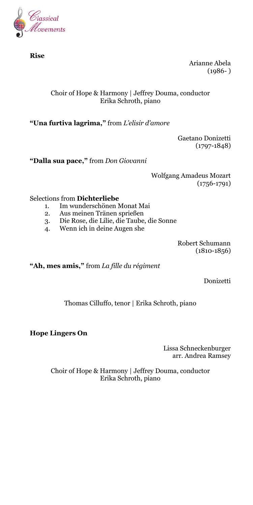

**Rise**

Arianne Abela  $(1986- )$ 

#### Choir of Hope & Harmony | Jeffrey Douma, conductor Erika Schroth, piano

**"Una furtiva lagrima,"** from *L'elisir d'amore*

Gaetano Donizetti (1797-1848)

**"Dalla sua pace,"** from *Don Giovanni*

Wolfgang Amadeus Mozart (1756-1791)

Selections from **Dichterliebe**

- 1. Im wunderschönen Monat Mai
- 2. Aus meinen Tränen sprießen
- 3. Die Rose, die Lilie, die Taube, die Sonne
- 4. Wenn ich in deine Augen she

Robert Schumann  $(1810 - 1856)$ 

**"Ah, mes amis,"** from *La fille du régiment*

Donizetti

Thomas Cilluffo, tenor | Erika Schroth, piano

**Hope Lingers On**

Lissa Schneckenburger arr. Andrea Ramsey

Choir of Hope & Harmony | Jeffrey Douma, conductor Erika Schroth, piano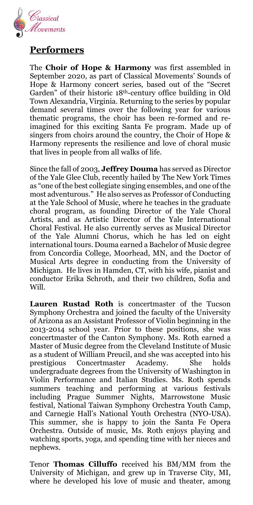

### **Performers**

The **Choir of Hope & Harmony** was first assembled in September 2020, as part of Classical Movements' Sounds of Hope & Harmony concert series, based out of the "Secret Garden" of their historic 18th-century office building in Old Town Alexandria, Virginia. Returning to the series by popular demand several times over the following year for various thematic programs, the choir has been re-formed and reimagined for this exciting Santa Fe program. Made up of singers from choirs around the country, the Choir of Hope & Harmony represents the resilience and love of choral music that lives in people from all walks of life.

Since the fall of 2003, **Jeffrey Douma** has served as Director of the Yale Glee Club, recently hailed by The New York Times as "one of the best collegiate singing ensembles, and one of the most adventurous." He also serves as Professor of Conducting at the Yale School of Music, where he teaches in the graduate choral program, as founding Director of the Yale Choral Artists, and as Artistic Director of the Yale International Choral Festival. He also currently serves as Musical Director of the Yale Alumni Chorus, which he has led on eight international tours. Douma earned a Bachelor of Music degree from Concordia College, Moorhead, MN, and the Doctor of Musical Arts degree in conducting from the University of Michigan. He lives in Hamden, CT, with his wife, pianist and conductor Erika Schroth, and their two children, Sofia and Will.

**Lauren Rustad Roth** is concertmaster of the Tucson Symphony Orchestra and joined the faculty of the University of Arizona as an Assistant Professor of Violin beginning in the 2013-2014 school year. Prior to these positions, she was concertmaster of the Canton Symphony. Ms. Roth earned a Master of Music degree from the Cleveland Institute of Music as a student of William Preucil, and she was accepted into his prestigious Concertmaster Academy. She holds undergraduate degrees from the University of Washington in Violin Performance and Italian Studies. Ms. Roth spends summers teaching and performing at various festivals including Prague Summer Nights, Marrowstone Music festival, National Taiwan Symphony Orchestra Youth Camp, and Carnegie Hall's National Youth Orchestra (NYO-USA). This summer, she is happy to join the Santa Fe Opera Orchestra. Outside of music, Ms. Roth enjoys playing and watching sports, yoga, and spending time with her nieces and nephews.

Tenor **Thomas Cilluffo** received his BM/MM from the University of Michigan, and grew up in Traverse City, MI, where he developed his love of music and theater, among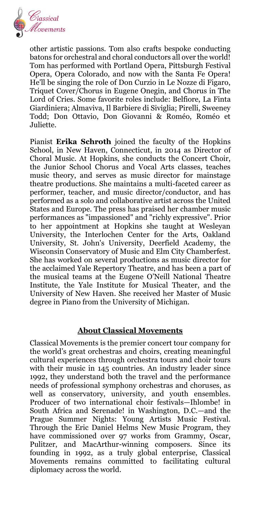

other artistic passions. Tom also crafts bespoke conducting batons for orchestral and choral conductors all over the world! Tom has performed with Portland Opera, Pittsburgh Festival Opera, Opera Colorado, and now with the Santa Fe Opera! He'll be singing the role of Don Curzio in Le Nozze di Figaro, Triquet Cover/Chorus in Eugene Onegin, and Chorus in The Lord of Cries. Some favorite roles include: Belfiore, La Finta Giardiniera; Almaviva, Il Barbiere di Siviglia; Pirelli, Sweeney Todd; Don Ottavio, Don Giovanni & Roméo, Roméo et Juliette.

Pianist **Erika Schroth** joined the faculty of the Hopkins School, in New Haven, Connecticut, in 2014 as Director of Choral Music. At Hopkins, she conducts the Concert Choir, the Junior School Chorus and Vocal Arts classes, teaches music theory, and serves as music director for mainstage theatre productions. She maintains a multi-faceted career as performer, teacher, and music director/conductor, and has performed as a solo and collaborative artist across the United States and Europe. The press has praised her chamber music performances as "impassioned" and "richly expressive". Prior to her appointment at Hopkins she taught at Wesleyan University, the Interlochen Center for the Arts, Oakland University, St. John's University, Deerfield Academy, the Wisconsin Conservatory of Music and Elm City Chamberfest. She has worked on several productions as music director for the acclaimed Yale Repertory Theatre, and has been a part of the musical teams at the Eugene O'Neill National Theatre Institute, the Yale Institute for Musical Theater, and the University of New Haven. She received her Master of Music degree in Piano from the University of Michigan.

#### **About Classical Movements**

Classical Movements is the premier concert tour company for the world's great orchestras and choirs, creating meaningful cultural experiences through orchestra tours and choir tours with their music in 145 countries. An industry leader since 1992, they understand both the travel and the performance needs of professional symphony orchestras and choruses, as well as conservatory, university, and youth ensembles. Producer of two international choir festivals—Ihlombe! in South Africa and Serenade! in Washington, D.C.—and the Prague Summer Nights: Young Artists Music Festival. Through the Eric Daniel Helms New Music Program, they have commissioned over 97 works from Grammy, Oscar, Pulitzer, and MacArthur-winning composers. Since its founding in 1992, as a truly global enterprise, Classical Movements remains committed to facilitating cultural diplomacy across the world.